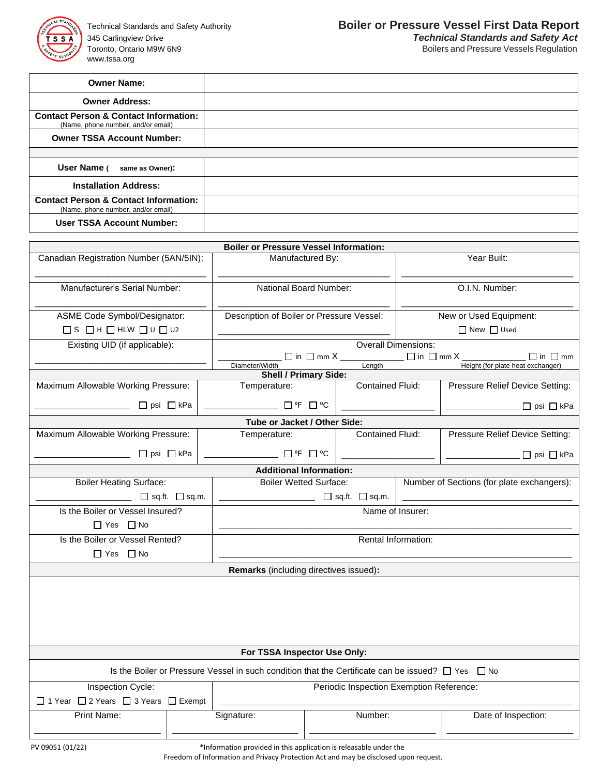

Toronto, Ontario M9W 6N9 88 and Discussion and Discussion and Discussion and Discussion Boilers and Pressure Vessels Regulation www.tssa.org

| <b>Owner Name:</b>                                                                     |  |
|----------------------------------------------------------------------------------------|--|
| <b>Owner Address:</b>                                                                  |  |
| <b>Contact Person &amp; Contact Information:</b><br>(Name, phone number, and/or email) |  |
| <b>Owner TSSA Account Number:</b>                                                      |  |
|                                                                                        |  |
| User Name (<br>same as Owner):                                                         |  |
| <b>Installation Address:</b>                                                           |  |
| <b>Contact Person &amp; Contact Information:</b><br>(Name, phone number, and/or email) |  |
| <b>User TSSA Account Number:</b>                                                       |  |

| <b>Boiler or Pressure Vessel Information:</b>                                                               |  |                                           |                           |                         |                        |                                                          |  |
|-------------------------------------------------------------------------------------------------------------|--|-------------------------------------------|---------------------------|-------------------------|------------------------|----------------------------------------------------------|--|
| Canadian Registration Number (5AN/5IN):                                                                     |  | Manufactured By:                          |                           |                         | Year Built:            |                                                          |  |
| Manufacturer's Serial Number:                                                                               |  | National Board Number:                    |                           |                         | O.I.N. Number:         |                                                          |  |
| ASME Code Symbol/Designator:                                                                                |  | Description of Boiler or Pressure Vessel: |                           |                         | New or Used Equipment: |                                                          |  |
| $\Box S \Box H \Box H L W \Box U \Box U2$                                                                   |  |                                           |                           |                         | $\Box$ New $\Box$ Used |                                                          |  |
| Existing UID (if applicable):                                                                               |  | <b>Overall Dimensions:</b>                |                           |                         |                        |                                                          |  |
|                                                                                                             |  | Diameter/Width                            |                           | $L$ ength               |                        | $\Box$ in $\Box$ mm<br>Height (for plate heat exchanger) |  |
|                                                                                                             |  | <b>Shell / Primary Side:</b>              |                           |                         |                        |                                                          |  |
| Maximum Allowable Working Pressure:                                                                         |  | Temperature:                              | <b>Contained Fluid:</b>   |                         |                        | Pressure Relief Device Setting:                          |  |
| $\Box$ psi $\Box$ kPa                                                                                       |  | ── □℉ □℃                                  |                           |                         |                        | □ psi □ kPa                                              |  |
|                                                                                                             |  | Tube or Jacket / Other Side:              |                           |                         |                        |                                                          |  |
| Maximum Allowable Working Pressure:                                                                         |  | Temperature:                              |                           | <b>Contained Fluid:</b> |                        | Pressure Relief Device Setting:                          |  |
| □ psi □ kPa                                                                                                 |  |                                           | $\square$ of $\square$ oc |                         |                        | □ psi □ kPa                                              |  |
|                                                                                                             |  | <b>Additional Information:</b>            |                           |                         |                        |                                                          |  |
| <b>Boiler Heating Surface:</b>                                                                              |  | <b>Boiler Wetted Surface:</b>             |                           |                         |                        | Number of Sections (for plate exchangers):               |  |
| $\Box$ $\Box$ sq.ft. $\Box$ sq.m.                                                                           |  | $\Box$ $\Box$ sq.ft. $\Box$ sq.m.         |                           |                         |                        |                                                          |  |
| Is the Boiler or Vessel Insured?                                                                            |  | Name of Insurer:                          |                           |                         |                        |                                                          |  |
| $\Box$ Yes $\Box$ No                                                                                        |  |                                           |                           |                         |                        |                                                          |  |
| Is the Boiler or Vessel Rented?                                                                             |  | Rental Information:                       |                           |                         |                        |                                                          |  |
| $\Box$ Yes $\Box$ No                                                                                        |  |                                           |                           |                         |                        |                                                          |  |
| Remarks (including directives issued):                                                                      |  |                                           |                           |                         |                        |                                                          |  |
|                                                                                                             |  |                                           |                           |                         |                        |                                                          |  |
| For TSSA Inspector Use Only:                                                                                |  |                                           |                           |                         |                        |                                                          |  |
| Is the Boiler or Pressure Vessel in such condition that the Certificate can be issued? $\Box$ Yes $\Box$ No |  |                                           |                           |                         |                        |                                                          |  |
| Inspection Cycle:<br>Periodic Inspection Exemption Reference:                                               |  |                                           |                           |                         |                        |                                                          |  |
| □ 1 Year □ 2 Years □ 3 Years □ Exempt                                                                       |  |                                           |                           |                         |                        |                                                          |  |
| <b>Print Name:</b>                                                                                          |  | Number:<br>Signature:                     |                           |                         | Date of Inspection:    |                                                          |  |

PV 09051 (01/22) \*Information provided in this application is releasable under the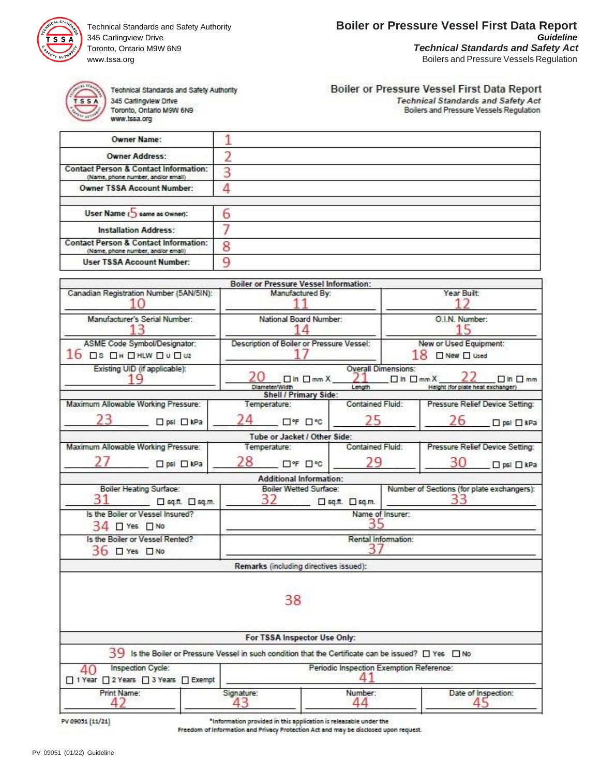

345 Carlingview Drive www.tssa.org **Boilers and Pressure Vessels Regulation Boilers and Pressure Vessels Regulation** 



Technical Standards and Safety Authority 345 Carlingview Drive Toronto, Ontario M9W 6N9 www.tssa.org

## Boiler or Pressure Vessel First Data Report

**Technical Standards and Safety Act** Boilers and Pressure Vessels Regulation

| Owner Name:                                                                            |   |
|----------------------------------------------------------------------------------------|---|
| <b>Owner Address:</b>                                                                  |   |
| <b>Contact Person &amp; Contact Information:</b><br>(Name, phone number, and/or email) |   |
| <b>Owner TSSA Account Number:</b>                                                      |   |
|                                                                                        |   |
| User Name (5 came as Owner):                                                           | ο |
| <b>Installation Address:</b>                                                           |   |
| <b>Contact Person &amp; Contact Information:</b><br>(Name, phone number, and/or email) | 8 |
| <b>User TSSA Account Number:</b>                                                       |   |

|                                                                                                                    |                                                         | <b>Boiler or Pressure Vessel Information:</b> |                                            |                                         |                                                  |                                 |  |
|--------------------------------------------------------------------------------------------------------------------|---------------------------------------------------------|-----------------------------------------------|--------------------------------------------|-----------------------------------------|--------------------------------------------------|---------------------------------|--|
| Canadian Registration Number (5AN/5IN):                                                                            | Manufactured By:                                        |                                               |                                            | Year Built:                             |                                                  |                                 |  |
| Manufacturer's Serial Number:<br>13                                                                                | National Board Number:                                  |                                               |                                            | O.I.N. Number:<br>15                    |                                                  |                                 |  |
| ASME Code Symbol/Designator:<br>$16$ DS ON DHLW DU Du2                                                             | Description of Boiler or Pressure Vessel:               |                                               |                                            | New or Used Equipment:<br>18 ONew Oused |                                                  |                                 |  |
| Existing UID (if applicable):<br>1 Q                                                                               |                                                         | $\Box$ In $\Box$ mm $X$<br>Diameter/Width     | <b>Overall Dimensions:</b><br>21<br>Length | $\Box$ in $\Box$ mm $X$                 | Height (for plate heat exchanger)                | $\Box$ in $\Box$ mm             |  |
|                                                                                                                    |                                                         | Shell / Primary Side:                         |                                            |                                         |                                                  |                                 |  |
| Maximum Allowable Working Pressure:                                                                                |                                                         | Temperature:                                  | Contained Fluid:                           |                                         |                                                  | Pressure Relief Device Setting: |  |
| 23<br>$\Box$ psi $\Box$ kPa                                                                                        |                                                         | □°F □ °C                                      | 25                                         |                                         | 26                                               | □ psi □ kPa                     |  |
|                                                                                                                    |                                                         | Tube or Jacket / Other Side:                  |                                            |                                         |                                                  |                                 |  |
| Maximum Allowable Working Pressure:                                                                                |                                                         | Temperature:                                  | Contained Fluid:                           | Pressure Relief Device Setting:         |                                                  |                                 |  |
| $\Box$ psi $\Box$ kPa                                                                                              | 28                                                      | □°F □℃                                        | 29                                         |                                         | 30                                               | □ psl □ kPa                     |  |
|                                                                                                                    |                                                         | <b>Additional Information:</b>                |                                            |                                         |                                                  |                                 |  |
| Boiler Heating Surface:<br>sq.ft. [] sq.m.                                                                         | <b>Boiler Wetted Surface:</b><br>32<br>□ sq.ft. □ sq.m. |                                               |                                            |                                         | Number of Sections (for plate exchangers):<br>33 |                                 |  |
| Is the Boiler or Vessel Insured?<br>$34$ $\Box$ Yes $\Box$ No                                                      | Name of Insurer:                                        |                                               |                                            |                                         |                                                  |                                 |  |
| Is the Boiler or Vessel Rented?<br>36 O Yes O No                                                                   | Rental Information:<br>37                               |                                               |                                            |                                         |                                                  |                                 |  |
|                                                                                                                    |                                                         | Remarks (including directives issued):        |                                            |                                         |                                                  |                                 |  |
|                                                                                                                    |                                                         | 38                                            |                                            |                                         |                                                  |                                 |  |
|                                                                                                                    |                                                         | For TSSA Inspector Use Only:                  |                                            |                                         |                                                  |                                 |  |
| $39\,$ Is the Boiler or Pressure Vessel in such condition that the Certificate can be issued? $\Box$ Yes $\Box$ No |                                                         |                                               |                                            |                                         |                                                  |                                 |  |
| Inspection Cycle:<br>40<br>□ 1 Year □ 2 Years □ 3 Years □ Exempt                                                   | Periodic Inspection Exemption Reference:<br>Λ1          |                                               |                                            |                                         |                                                  |                                 |  |
| Print Name:<br>42                                                                                                  | Signature:<br>43                                        |                                               | Number:<br>44                              |                                         |                                                  | Date of Inspection:<br>45       |  |
|                                                                                                                    |                                                         |                                               |                                            |                                         |                                                  |                                 |  |

PV 09051 [11/21]

\*Information provided in this application is releasable under the

Freedom of Information and Privacy Protection Act and may be disclosed upon request.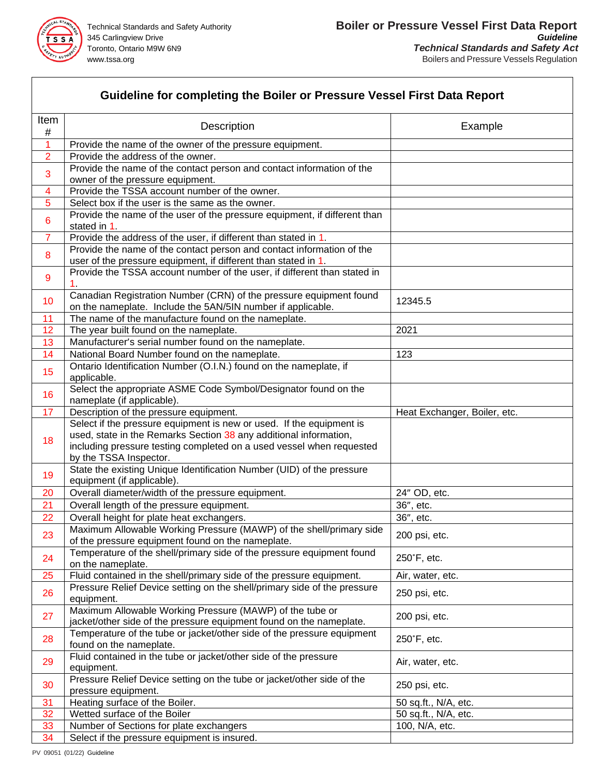

## **Guideline for completing the Boiler or Pressure Vessel First Data Report**

| Item            | <b>Description</b>                                                                                                                                                                                                                          | Example                      |
|-----------------|---------------------------------------------------------------------------------------------------------------------------------------------------------------------------------------------------------------------------------------------|------------------------------|
| $\#$<br>1       | Provide the name of the owner of the pressure equipment.                                                                                                                                                                                    |                              |
| $\overline{2}$  | Provide the address of the owner.                                                                                                                                                                                                           |                              |
|                 | Provide the name of the contact person and contact information of the                                                                                                                                                                       |                              |
| 3               | owner of the pressure equipment.                                                                                                                                                                                                            |                              |
| 4               | Provide the TSSA account number of the owner.                                                                                                                                                                                               |                              |
| 5               | Select box if the user is the same as the owner.                                                                                                                                                                                            |                              |
| 6               | Provide the name of the user of the pressure equipment, if different than                                                                                                                                                                   |                              |
|                 | stated in 1                                                                                                                                                                                                                                 |                              |
| $\overline{7}$  | Provide the address of the user, if different than stated in 1.                                                                                                                                                                             |                              |
| 8               | Provide the name of the contact person and contact information of the<br>user of the pressure equipment, if different than stated in 1.                                                                                                     |                              |
| 9               | Provide the TSSA account number of the user, if different than stated in                                                                                                                                                                    |                              |
|                 | Canadian Registration Number (CRN) of the pressure equipment found                                                                                                                                                                          | 12345.5                      |
| 10 <sup>°</sup> | on the nameplate. Include the 5AN/5IN number if applicable.                                                                                                                                                                                 |                              |
| 11              | The name of the manufacture found on the nameplate.                                                                                                                                                                                         |                              |
| 12              | The year built found on the nameplate.                                                                                                                                                                                                      | 2021                         |
| 13              | Manufacturer's serial number found on the nameplate.                                                                                                                                                                                        |                              |
| 14              | National Board Number found on the nameplate.                                                                                                                                                                                               | 123                          |
| 15              | Ontario Identification Number (O.I.N.) found on the nameplate, if<br>applicable.                                                                                                                                                            |                              |
| 16              | Select the appropriate ASME Code Symbol/Designator found on the                                                                                                                                                                             |                              |
|                 | nameplate (if applicable).                                                                                                                                                                                                                  |                              |
| 17              | Description of the pressure equipment.                                                                                                                                                                                                      | Heat Exchanger, Boiler, etc. |
| 18              | Select if the pressure equipment is new or used. If the equipment is<br>used, state in the Remarks Section 38 any additional information,<br>including pressure testing completed on a used vessel when requested<br>by the TSSA Inspector. |                              |
| 19              | State the existing Unique Identification Number (UID) of the pressure<br>equipment (if applicable).                                                                                                                                         |                              |
| 20              | Overall diameter/width of the pressure equipment.                                                                                                                                                                                           | 24" OD, etc.                 |
| 21              | Overall length of the pressure equipment.                                                                                                                                                                                                   | 36", etc.                    |
| 22              | Overall height for plate heat exchangers.                                                                                                                                                                                                   | 36", etc.                    |
|                 | Maximum Allowable Working Pressure (MAWP) of the shell/primary side                                                                                                                                                                         |                              |
| 23              | of the pressure equipment found on the nameplate.                                                                                                                                                                                           | 200 psi, etc.                |
| 24              | Temperature of the shell/primary side of the pressure equipment found<br>on the nameplate.                                                                                                                                                  | 250°F, etc.                  |
| 25              | Fluid contained in the shell/primary side of the pressure equipment.                                                                                                                                                                        | Air, water, etc.             |
| 26              | Pressure Relief Device setting on the shell/primary side of the pressure                                                                                                                                                                    | 250 psi, etc.                |
|                 | equipment.                                                                                                                                                                                                                                  |                              |
| 27              | Maximum Allowable Working Pressure (MAWP) of the tube or                                                                                                                                                                                    | 200 psi, etc.                |
|                 | jacket/other side of the pressure equipment found on the nameplate.                                                                                                                                                                         |                              |
| 28              | Temperature of the tube or jacket/other side of the pressure equipment<br>found on the nameplate.                                                                                                                                           | 250°F, etc.                  |
| 29              | Fluid contained in the tube or jacket/other side of the pressure<br>equipment.                                                                                                                                                              | Air, water, etc.             |
| 30              | Pressure Relief Device setting on the tube or jacket/other side of the<br>pressure equipment.                                                                                                                                               | 250 psi, etc.                |
| 31              | Heating surface of the Boiler.                                                                                                                                                                                                              | 50 sq.ft., N/A, etc.         |
| 32              | Wetted surface of the Boiler                                                                                                                                                                                                                | 50 sq.ft., N/A, etc.         |
| 33              | Number of Sections for plate exchangers                                                                                                                                                                                                     | 100, N/A, etc.               |
| 34              | Select if the pressure equipment is insured.                                                                                                                                                                                                |                              |